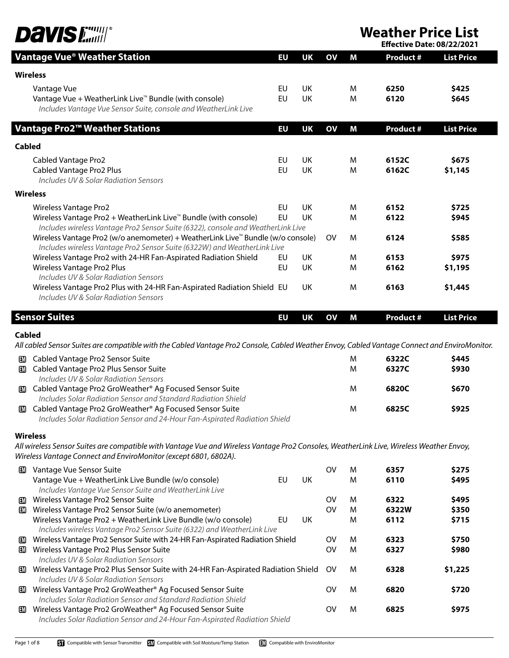

**Weather Price List**<br>**Effective Date: 08/22/2021** 

| <b>Effective Date: 08/22/2021</b> |  |  |
|-----------------------------------|--|--|
|                                   |  |  |

|               | <b>Vantage Vue<sup>®</sup> Weather Station</b>                                                                                                | EU        | <b>UK</b> | OV           | M      | <b>Product #</b> | <b>List Price</b> |
|---------------|-----------------------------------------------------------------------------------------------------------------------------------------------|-----------|-----------|--------------|--------|------------------|-------------------|
|               | <b>Wireless</b>                                                                                                                               |           |           |              |        |                  |                   |
|               | Vantage Vue                                                                                                                                   | EU        | UK        |              | M      | 6250             | \$425             |
|               | Vantage Vue + WeatherLink Live <sup>™</sup> Bundle (with console)                                                                             | EU        | UK        |              | M      | 6120             | \$645             |
|               | Includes Vantage Vue Sensor Suite, console and WeatherLink Live                                                                               |           |           |              |        |                  |                   |
|               | Vantage Pro2 <sup>™</sup> Weather Stations                                                                                                    | EU        | <b>UK</b> | OV           | M      | <b>Product #</b> | <b>List Price</b> |
| <b>Cabled</b> |                                                                                                                                               |           |           |              |        |                  |                   |
|               | <b>Cabled Vantage Pro2</b>                                                                                                                    | EU        | UK        |              | M      | 6152C            | \$675             |
|               | Cabled Vantage Pro2 Plus                                                                                                                      | <b>EU</b> | UK        |              | M      | 6162C            | \$1,145           |
|               | Includes UV & Solar Radiation Sensors                                                                                                         |           |           |              |        |                  |                   |
|               | <b>Wireless</b>                                                                                                                               |           |           |              |        |                  |                   |
|               | <b>Wireless Vantage Pro2</b>                                                                                                                  | EU        | UK        |              | M      | 6152             | \$725             |
|               | Wireless Vantage Pro2 + WeatherLink Live <sup>™</sup> Bundle (with console)                                                                   | <b>EU</b> | UK        |              | M      | 6122             | \$945             |
|               | Includes wireless Vantage Pro2 Sensor Suite (6322), console and WeatherLink Live                                                              |           |           |              |        |                  |                   |
|               | Wireless Vantage Pro2 (w/o anemometer) + WeatherLink Live <sup>™</sup> Bundle (w/o console)                                                   |           |           | <b>OV</b>    | M      | 6124             | \$585             |
|               | Includes wireless Vantage Pro2 Sensor Suite (6322W) and WeatherLink Live<br>Wireless Vantage Pro2 with 24-HR Fan-Aspirated Radiation Shield   | EU        | UK        |              | M      | 6153             | \$975             |
|               | Wireless Vantage Pro2 Plus                                                                                                                    | EU        | UK        |              | M      | 6162             | \$1,195           |
|               | Includes UV & Solar Radiation Sensors                                                                                                         |           |           |              |        |                  |                   |
|               | Wireless Vantage Pro2 Plus with 24-HR Fan-Aspirated Radiation Shield EU                                                                       |           | <b>UK</b> |              | M      | 6163             | \$1,445           |
|               | Includes UV & Solar Radiation Sensors                                                                                                         |           |           |              |        |                  |                   |
|               |                                                                                                                                               |           |           |              |        |                  |                   |
|               | <b>Sensor Suites</b>                                                                                                                          | EU        | <b>UK</b> | $\mathbf{O}$ | M      | <b>Product #</b> | <b>List Price</b> |
| <b>Cabled</b> | All cabled Sensor Suites are compatible with the Cabled Vantage Pro2 Console, Cabled Weather Envoy, Cabled Vantage Connect and EnviroMonitor. |           |           |              |        |                  |                   |
|               |                                                                                                                                               |           |           |              |        |                  |                   |
| ▥             | Cabled Vantage Pro2 Sensor Suite<br><b>ED</b> Cabled Vantage Pro2 Plus Sensor Suite                                                           |           |           |              | M<br>M | 6322C<br>6327C   | \$445<br>\$930    |
|               | Includes UV & Solar Radiation Sensors                                                                                                         |           |           |              |        |                  |                   |
|               | <b>ED</b> Cabled Vantage Pro2 GroWeather® Ag Focused Sensor Suite                                                                             |           |           |              | M      | 6820C            | \$670             |
|               | Includes Solar Radiation Sensor and Standard Radiation Shield                                                                                 |           |           |              |        |                  |                   |
|               | <b>EM</b> Cabled Vantage Pro2 GroWeather® Ag Focused Sensor Suite                                                                             |           |           |              | M      | 6825C            | \$925             |
|               | Includes Solar Radiation Sensor and 24-Hour Fan-Aspirated Radiation Shield                                                                    |           |           |              |        |                  |                   |
|               | <b>Wireless</b>                                                                                                                               |           |           |              |        |                  |                   |
|               | All wireless Sensor Suites are compatible with Vantage Vue and Wireless Vantage Pro2 Consoles, WeatherLink Live, Wireless Weather Envoy,      |           |           |              |        |                  |                   |
|               | Wireless Vantage Connect and EnviroMonitor (except 6801, 6802A).                                                                              |           |           |              |        |                  |                   |
| ▥             | Vantage Vue Sensor Suite                                                                                                                      |           |           | <b>OV</b>    | M      | 6357             | \$275             |
|               | Vantage Vue + WeatherLink Live Bundle (w/o console)                                                                                           | EU        | UK        |              | M      | 6110             | \$495             |
|               | Includes Vantage Vue Sensor Suite and WeatherLink Live                                                                                        |           |           |              |        |                  |                   |
| m             | Wireless Vantage Pro2 Sensor Suite                                                                                                            |           |           | <b>OV</b>    | M      | 6322             | \$495             |
| EM            | Wireless Vantage Pro2 Sensor Suite (w/o anemometer)                                                                                           |           |           | <b>OV</b>    | M      | 6322W            | \$350             |
|               | Wireless Vantage Pro2 + WeatherLink Live Bundle (w/o console)<br>Includes wireless Vantage Pro2 Sensor Suite (6322) and WeatherLink Live      | EU        | UK        |              | M      | 6112             | \$715             |
| EM.           | Wireless Vantage Pro2 Sensor Suite with 24-HR Fan-Aspirated Radiation Shield                                                                  |           |           | <b>OV</b>    | M      | 6323             | \$750             |
| ▥             | Wireless Vantage Pro2 Plus Sensor Suite                                                                                                       |           |           | <b>OV</b>    | M      | 6327             | \$980             |
|               | Includes UV & Solar Radiation Sensors                                                                                                         |           |           |              |        |                  |                   |
| LМ            | Wireless Vantage Pro2 Plus Sensor Suite with 24-HR Fan-Aspirated Radiation Shield                                                             |           |           | 0V           | M      | 6328             | \$1,225           |
|               | Includes UV & Solar Radiation Sensors                                                                                                         |           |           |              |        |                  |                   |
| LМ            | Wireless Vantage Pro2 GroWeather® Ag Focused Sensor Suite                                                                                     |           |           | ov           | M      | 6820             | \$720             |
|               | Includes Solar Radiation Sensor and Standard Radiation Shield<br>Wireless Vantage Pro2 GroWeather® Ag Focused Sensor Suite                    |           |           | ov           | M      | 6825             | \$975             |
|               | Includes Solar Radiation Sensor and 24-Hour Fan-Aspirated Radiation Shield                                                                    |           |           |              |        |                  |                   |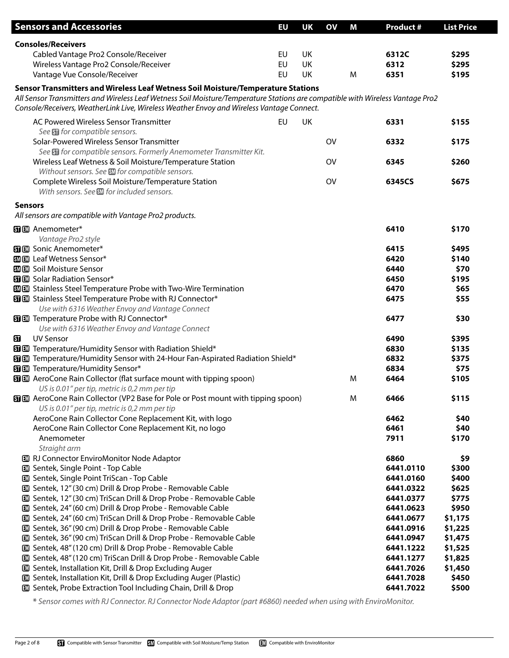|                | <b>Sensors and Accessories</b>                                                                                                    | EU | UK | OV        | Μ | <b>Product #</b>       | <b>List Price</b> |
|----------------|-----------------------------------------------------------------------------------------------------------------------------------|----|----|-----------|---|------------------------|-------------------|
|                | <b>Consoles/Receivers</b>                                                                                                         |    |    |           |   |                        |                   |
|                | Cabled Vantage Pro2 Console/Receiver                                                                                              | EU | UK |           |   | 6312C                  | \$295             |
|                | Wireless Vantage Pro2 Console/Receiver                                                                                            | EU | UK |           |   | 6312                   | \$295             |
|                | Vantage Vue Console/Receiver                                                                                                      | EU | UK |           | M | 6351                   | \$195             |
|                | Sensor Transmitters and Wireless Leaf Wetness Soil Moisture/Temperature Stations                                                  |    |    |           |   |                        |                   |
|                | All Sensor Transmitters and Wireless Leaf Wetness Soil Moisture/Temperature Stations are compatible with Wireless Vantage Pro2    |    |    |           |   |                        |                   |
|                | Console/Receivers, WeatherLink Live, Wireless Weather Envoy and Wireless Vantage Connect.                                         |    |    |           |   |                        |                   |
|                | AC Powered Wireless Sensor Transmitter                                                                                            | EU | UK |           |   | 6331                   | \$155             |
|                | See <b>Sol</b> for compatible sensors.                                                                                            |    |    |           |   |                        |                   |
|                | Solar-Powered Wireless Sensor Transmitter                                                                                         |    |    | <b>OV</b> |   | 6332                   | \$175             |
|                | See Su for compatible sensors. Formerly Anemometer Transmitter Kit.                                                               |    |    |           |   |                        |                   |
|                | Wireless Leaf Wetness & Soil Moisture/Temperature Station                                                                         |    |    | <b>OV</b> |   | 6345                   | \$260             |
|                | Without sensors. See <b>SM</b> for compatible sensors.                                                                            |    |    |           |   |                        |                   |
|                | Complete Wireless Soil Moisture/Temperature Station                                                                               |    |    | OV        |   | 6345CS                 | \$675             |
|                | With sensors. See <b>SM</b> for included sensors.                                                                                 |    |    |           |   |                        |                   |
| <b>Sensors</b> |                                                                                                                                   |    |    |           |   |                        |                   |
|                | All sensors are compatible with Vantage Pro2 products.                                                                            |    |    |           |   |                        |                   |
|                |                                                                                                                                   |    |    |           |   |                        |                   |
|                | <b>SIEM</b> Anemometer*                                                                                                           |    |    |           |   | 6410                   | \$170             |
|                | Vantage Pro2 style<br><b>SI</b> III Sonic Anemometer*                                                                             |    |    |           |   | 6415                   | \$495             |
|                | <b>图图 Leaf Wetness Sensor*</b>                                                                                                    |    |    |           |   | 6420                   | \$140             |
|                | <b>图图 Soil Moisture Sensor</b>                                                                                                    |    |    |           |   | 6440                   | \$70              |
|                | <b>SILL</b> Solar Radiation Sensor*                                                                                               |    |    |           |   | 6450                   | \$195             |
|                | <b>SMEM</b> Stainless Steel Temperature Probe with Two-Wire Termination                                                           |    |    |           |   | 6470                   | \$65              |
|                | <b>SIED</b> Stainless Steel Temperature Probe with RJ Connector*                                                                  |    |    |           |   | 6475                   | \$55              |
|                | Use with 6316 Weather Envoy and Vantage Connect                                                                                   |    |    |           |   |                        |                   |
|                | <b>SI</b> III Temperature Probe with RJ Connector*                                                                                |    |    |           |   | 6477                   | \$30              |
|                | Use with 6316 Weather Envoy and Vantage Connect                                                                                   |    |    |           |   |                        |                   |
| 囧              | <b>UV Sensor</b>                                                                                                                  |    |    |           |   | 6490                   | \$395             |
|                | <b>SI EM</b> Temperature/Humidity Sensor with Radiation Shield*                                                                   |    |    |           |   | 6830                   | \$135             |
|                | 图 图 Temperature/Humidity Sensor with 24-Hour Fan-Aspirated Radiation Shield*                                                      |    |    |           |   | 6832                   | \$375             |
|                | <b>SIEI</b> Temperature/Humidity Sensor*                                                                                          |    |    |           |   | 6834                   | \$75              |
|                | 图 AeroCone Rain Collector (flat surface mount with tipping spoon)                                                                 |    |    |           | M | 6464                   | \$105             |
|                | US is 0.01" per tip, metric is 0,2 mm per tip                                                                                     |    |    |           |   |                        |                   |
|                | 图 . AeroCone Rain Collector (VP2 Base for Pole or Post mount with tipping spoon)                                                  |    |    |           | M | 6466                   | \$115             |
|                | US is 0.01" per tip, metric is 0,2 mm per tip                                                                                     |    |    |           |   |                        |                   |
|                | AeroCone Rain Collector Cone Replacement Kit, with logo                                                                           |    |    |           |   | 6462                   | \$40              |
|                | AeroCone Rain Collector Cone Replacement Kit, no logo                                                                             |    |    |           |   | 6461                   | \$40              |
|                | Anemometer                                                                                                                        |    |    |           |   | 7911                   | \$170             |
|                | Straight arm                                                                                                                      |    |    |           |   |                        |                   |
|                | <b>EM</b> RJ Connector EnviroMonitor Node Adaptor                                                                                 |    |    |           |   | 6860                   | \$9               |
|                | Sentek, Single Point - Top Cable                                                                                                  |    |    |           |   | 6441.0110              | \$300             |
|                | <b>EM</b> Sentek, Single Point TriScan - Top Cable                                                                                |    |    |           |   | 6441.0160              | \$400             |
|                | 13 Sentek, 12" (30 cm) Drill & Drop Probe - Removable Cable                                                                       |    |    |           |   | 6441.0322              | \$625             |
|                | 13 Sentek, 12" (30 cm) TriScan Drill & Drop Probe - Removable Cable                                                               |    |    |           |   | 6441.0377              | \$775             |
|                | 13 Sentek, 24" (60 cm) Drill & Drop Probe - Removable Cable<br>1 Sentek, 24" (60 cm) TriScan Drill & Drop Probe - Removable Cable |    |    |           |   | 6441.0623<br>6441.0677 | \$950<br>\$1,175  |
|                | 13 Sentek, 36" (90 cm) Drill & Drop Probe - Removable Cable                                                                       |    |    |           |   | 6441.0916              | \$1,225           |
|                | 1 Sentek, 36" (90 cm) TriScan Drill & Drop Probe - Removable Cable                                                                |    |    |           |   | 6441.0947              | \$1,475           |
|                | 13 Sentek, 48" (120 cm) Drill & Drop Probe - Removable Cable                                                                      |    |    |           |   | 6441.1222              | \$1,525           |
|                | 13 Sentek, 48" (120 cm) TriScan Drill & Drop Probe - Removable Cable                                                              |    |    |           |   | 6441.1277              | \$1,825           |
|                | <b>ED</b> Sentek, Installation Kit, Drill & Drop Excluding Auger                                                                  |    |    |           |   | 6441.7026              | \$1,450           |
|                | <b>ED</b> Sentek, Installation Kit, Drill & Drop Excluding Auger (Plastic)                                                        |    |    |           |   | 6441.7028              | \$450             |
|                | <b>ED</b> Sentek, Probe Extraction Tool Including Chain, Drill & Drop                                                             |    |    |           |   | 6441.7022              | \$500             |
|                |                                                                                                                                   |    |    |           |   |                        |                   |

**\*** *Sensor comes with RJ Connector. RJ Connector Node Adaptor (part #6860) needed when using with EnviroMonitor.*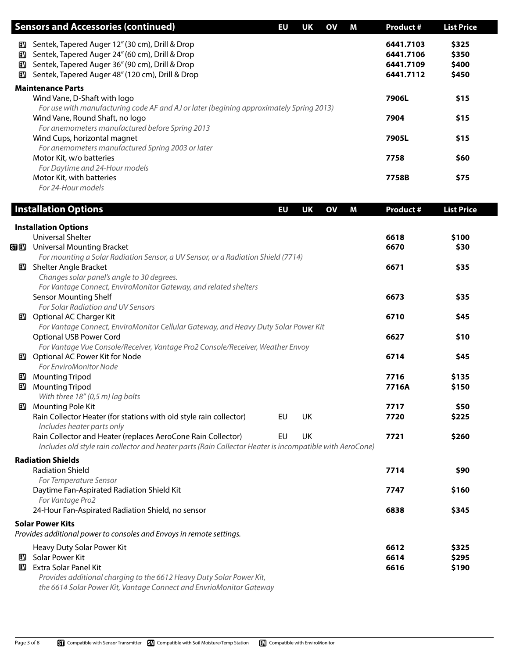|     | <b>Sensors and Accessories (continued)</b>                                              | EU | UK | <b>OV</b> | М | <b>Product #</b> | <b>List Price</b> |  |
|-----|-----------------------------------------------------------------------------------------|----|----|-----------|---|------------------|-------------------|--|
| EM. | Sentek, Tapered Auger 12" (30 cm), Drill & Drop                                         |    |    |           |   | 6441.7103        | \$325             |  |
| EM. | Sentek, Tapered Auger 24" (60 cm), Drill & Drop                                         |    |    |           |   | 6441.7106        | \$350             |  |
| ▥   | Sentek, Tapered Auger 36" (90 cm), Drill & Drop                                         |    |    |           |   | 6441.7109        | \$400             |  |
| ▥   | Sentek, Tapered Auger 48" (120 cm), Drill & Drop                                        |    |    |           |   | 6441.7112        | \$450             |  |
|     | <b>Maintenance Parts</b>                                                                |    |    |           |   |                  |                   |  |
|     | Wind Vane, D-Shaft with logo                                                            |    |    |           |   | 7906L            | \$15              |  |
|     | For use with manufacturing code AF and AJ or later (begining approximately Spring 2013) |    |    |           |   |                  |                   |  |
|     | Wind Vane, Round Shaft, no logo                                                         |    |    |           |   | 7904             | \$15              |  |
|     | For anemometers manufactured before Spring 2013                                         |    |    |           |   |                  |                   |  |
|     | Wind Cups, horizontal magnet                                                            |    |    |           |   | 7905L            | \$15              |  |
|     | For anemometers manufactured Spring 2003 or later                                       |    |    |           |   |                  |                   |  |
|     | Motor Kit, w/o batteries                                                                |    |    |           |   | 7758             | \$60              |  |
|     | For Daytime and 24-Hour models                                                          |    |    |           |   |                  |                   |  |
|     | Motor Kit, with batteries                                                               |    |    |           |   | 7758B            | \$75              |  |
|     | For 24-Hour models                                                                      |    |    |           |   |                  |                   |  |

|              | <b>Installation Options</b>                                                                              | EU        | <b>UK</b> | <b>OV</b> | M | <b>Product #</b> | <b>List Price</b> |
|--------------|----------------------------------------------------------------------------------------------------------|-----------|-----------|-----------|---|------------------|-------------------|
|              | <b>Installation Options</b>                                                                              |           |           |           |   |                  |                   |
|              | <b>Universal Shelter</b>                                                                                 |           |           |           |   | 6618             | \$100             |
|              | <b>SI ED</b> Universal Mounting Bracket                                                                  |           |           |           |   | 6670             | \$30              |
|              | For mounting a Solar Radiation Sensor, a UV Sensor, or a Radiation Shield (7714)                         |           |           |           |   |                  |                   |
|              | <b>ED</b> Shelter Angle Bracket                                                                          |           |           |           |   | 6671             | \$35              |
|              | Changes solar panel's angle to 30 degrees.                                                               |           |           |           |   |                  |                   |
|              | For Vantage Connect, EnviroMonitor Gateway, and related shelters                                         |           |           |           |   |                  |                   |
|              | <b>Sensor Mounting Shelf</b>                                                                             |           |           |           |   | 6673             | \$35              |
|              | For Solar Radiation and UV Sensors                                                                       |           |           |           |   |                  |                   |
| EM 1         | <b>Optional AC Charger Kit</b>                                                                           |           |           |           |   | 6710             | \$45              |
|              | For Vantage Connect, EnviroMonitor Cellular Gateway, and Heavy Duty Solar Power Kit                      |           |           |           |   |                  |                   |
|              | <b>Optional USB Power Cord</b>                                                                           |           |           |           |   | 6627             | \$10              |
|              | For Vantage Vue Console/Receiver, Vantage Pro2 Console/Receiver, Weather Envoy                           |           |           |           |   |                  |                   |
| EM.          | Optional AC Power Kit for Node                                                                           |           |           |           |   | 6714             | \$45              |
|              | For EnviroMonitor Node                                                                                   |           |           |           |   |                  |                   |
| LM.          | <b>Mounting Tripod</b>                                                                                   |           |           |           |   | 7716             | \$135             |
| $\mathbf{m}$ | <b>Mounting Tripod</b>                                                                                   |           |           |           |   | 7716A            | \$150             |
|              | With three 18" (0,5 m) lag bolts                                                                         |           |           |           |   |                  |                   |
| ▥            | <b>Mounting Pole Kit</b>                                                                                 |           |           |           |   | 7717             | \$50              |
|              | Rain Collector Heater (for stations with old style rain collector)<br>Includes heater parts only         | EU        | <b>UK</b> |           |   | 7720             | \$225             |
|              | Rain Collector and Heater (replaces AeroCone Rain Collector)                                             | <b>EU</b> | <b>UK</b> |           |   | 7721             | \$260             |
|              | Includes old style rain collector and heater parts (Rain Collector Heater is incompatible with AeroCone) |           |           |           |   |                  |                   |
|              | <b>Radiation Shields</b>                                                                                 |           |           |           |   |                  |                   |
|              | <b>Radiation Shield</b>                                                                                  |           |           |           |   | 7714             | \$90              |
|              | For Temperature Sensor                                                                                   |           |           |           |   |                  |                   |
|              | Daytime Fan-Aspirated Radiation Shield Kit                                                               |           |           |           |   | 7747             | \$160             |
|              | For Vantage Pro2                                                                                         |           |           |           |   |                  |                   |
|              | 24-Hour Fan-Aspirated Radiation Shield, no sensor                                                        |           |           |           |   | 6838             | \$345             |
|              | <b>Solar Power Kits</b>                                                                                  |           |           |           |   |                  |                   |
|              | Provides additional power to consoles and Envoys in remote settings.                                     |           |           |           |   |                  |                   |
|              |                                                                                                          |           |           |           |   |                  |                   |
|              | Heavy Duty Solar Power Kit                                                                               |           |           |           |   | 6612             | \$325             |
| EM           | Solar Power Kit                                                                                          |           |           |           |   | 6614             | \$295             |
| EM           | Extra Solar Panel Kit                                                                                    |           |           |           |   | 6616             | \$190             |
|              | Provides additional charging to the 6612 Heavy Duty Solar Power Kit,                                     |           |           |           |   |                  |                   |
|              | the 6614 Solar Power Kit, Vantage Connect and EnvrioMonitor Gateway                                      |           |           |           |   |                  |                   |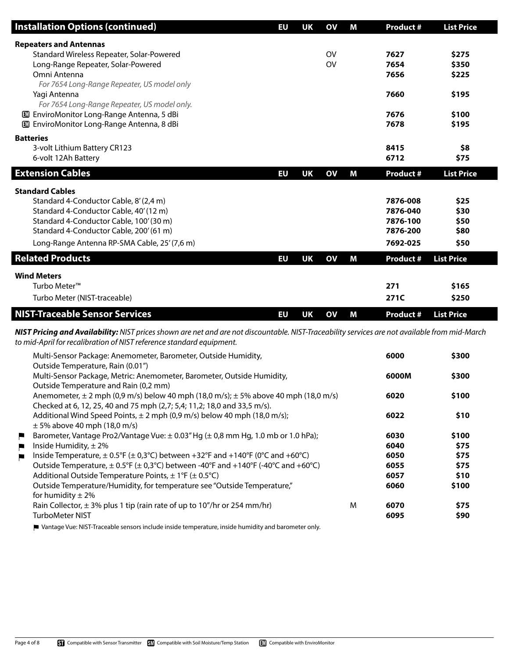| <b>Installation Options (continued)</b>                                                                                                                                                                                | EU        | <b>UK</b> | $\mathbf{O}$ | M | <b>Product #</b> | <b>List Price</b> |
|------------------------------------------------------------------------------------------------------------------------------------------------------------------------------------------------------------------------|-----------|-----------|--------------|---|------------------|-------------------|
| <b>Repeaters and Antennas</b><br>Standard Wireless Repeater, Solar-Powered                                                                                                                                             |           |           | <b>OV</b>    |   | 7627             | \$275             |
| Long-Range Repeater, Solar-Powered                                                                                                                                                                                     |           |           | <b>OV</b>    |   | 7654             | \$350             |
| Omni Antenna                                                                                                                                                                                                           |           |           |              |   | 7656             | \$225             |
| For 7654 Long-Range Repeater, US model only                                                                                                                                                                            |           |           |              |   |                  |                   |
| Yagi Antenna                                                                                                                                                                                                           |           |           |              |   | 7660             | \$195             |
| For 7654 Long-Range Repeater, US model only.                                                                                                                                                                           |           |           |              |   |                  |                   |
| <b>ED</b> EnviroMonitor Long-Range Antenna, 5 dBi                                                                                                                                                                      |           |           |              |   | 7676             | \$100             |
| <b>ED</b> EnviroMonitor Long-Range Antenna, 8 dBi                                                                                                                                                                      |           |           |              |   | 7678             | \$195             |
| <b>Batteries</b>                                                                                                                                                                                                       |           |           |              |   |                  |                   |
| 3-volt Lithium Battery CR123                                                                                                                                                                                           |           |           |              |   | 8415             | \$8               |
| 6-volt 12Ah Battery                                                                                                                                                                                                    |           |           |              |   | 6712             | \$75              |
| <b>Extension Cables</b>                                                                                                                                                                                                |           |           |              |   |                  |                   |
|                                                                                                                                                                                                                        | EU        | <b>UK</b> | $\mathbf{O}$ | M | <b>Product #</b> | <b>List Price</b> |
| <b>Standard Cables</b>                                                                                                                                                                                                 |           |           |              |   |                  |                   |
| Standard 4-Conductor Cable, 8' (2,4 m)                                                                                                                                                                                 |           |           |              |   | 7876-008         | \$25              |
| Standard 4-Conductor Cable, 40' (12 m)                                                                                                                                                                                 |           |           |              |   | 7876-040         | \$30              |
| Standard 4-Conductor Cable, 100' (30 m)                                                                                                                                                                                |           |           |              |   | 7876-100         | \$50              |
| Standard 4-Conductor Cable, 200' (61 m)                                                                                                                                                                                |           |           |              |   | 7876-200         | \$80              |
| Long-Range Antenna RP-SMA Cable, 25' (7,6 m)                                                                                                                                                                           |           |           |              |   | 7692-025         | \$50              |
|                                                                                                                                                                                                                        |           |           |              |   |                  |                   |
| <b>Related Products</b>                                                                                                                                                                                                | <b>EU</b> | <b>UK</b> | $\mathbf{O}$ | M | <b>Product #</b> | <b>List Price</b> |
| <b>Wind Meters</b>                                                                                                                                                                                                     |           |           |              |   |                  |                   |
| Turbo Meter <sup>™</sup>                                                                                                                                                                                               |           |           |              |   | 271              | \$165             |
| Turbo Meter (NIST-traceable)                                                                                                                                                                                           |           |           |              |   | 271C             | \$250             |
|                                                                                                                                                                                                                        |           |           |              |   |                  |                   |
| <b>NIST-Traceable Sensor Services</b>                                                                                                                                                                                  | <b>EU</b> | <b>UK</b> | $\mathbf{O}$ | M | <b>Product #</b> | <b>List Price</b> |
| NIST Pricing and Availability: NIST prices shown are net and are not discountable. NIST-Traceability services are not available from mid-March<br>to mid-April for recalibration of NIST reference standard equipment. |           |           |              |   |                  |                   |
| Multi-Sensor Package: Anemometer, Barometer, Outside Humidity,<br>Outside Temperature, Rain (0.01")                                                                                                                    |           |           |              |   | 6000             | \$300             |
| Multi-Sensor Package, Metric: Anemometer, Barometer, Outside Humidity,                                                                                                                                                 |           |           |              |   | 6000M            | \$300             |
| Outside Temperature and Rain (0,2 mm)                                                                                                                                                                                  |           |           |              |   |                  |                   |
| Anemometer, $\pm 2$ mph (0,9 m/s) below 40 mph (18,0 m/s); $\pm 5\%$ above 40 mph (18,0 m/s)                                                                                                                           |           |           |              |   | 6020             | \$100             |
| Checked at 6, 12, 25, 40 and 75 mph (2,7; 5,4; 11,2; 18,0 and 33,5 m/s).                                                                                                                                               |           |           |              |   |                  |                   |
| Additional Wind Speed Points, $\pm 2$ mph (0,9 m/s) below 40 mph (18,0 m/s);                                                                                                                                           |           |           |              |   | 6022             | \$10              |
| $\pm$ 5% above 40 mph (18,0 m/s)                                                                                                                                                                                       |           |           |              |   |                  |                   |
| Barometer, Vantage Pro2/Vantage Vue: $\pm$ 0.03" Hg ( $\pm$ 0.8 mm Hg, 1.0 mb or 1.0 hPa):                                                                                                                             |           |           |              |   | 6030             | \$100             |

| Outside Temperature, Rain (0.01")                                                            |   |       |       |
|----------------------------------------------------------------------------------------------|---|-------|-------|
| Multi-Sensor Package, Metric: Anemometer, Barometer, Outside Humidity,                       |   | 6000M | \$300 |
| Outside Temperature and Rain (0,2 mm)                                                        |   |       |       |
| Anemometer, $\pm 2$ mph (0,9 m/s) below 40 mph (18,0 m/s); $\pm 5\%$ above 40 mph (18,0 m/s) |   | 6020  | \$100 |
| Checked at 6, 12, 25, 40 and 75 mph (2,7; 5,4; 11,2; 18,0 and 33,5 m/s).                     |   |       |       |
| Additional Wind Speed Points, $\pm 2$ mph (0,9 m/s) below 40 mph (18,0 m/s);                 |   | 6022  | \$10  |
| $\pm$ 5% above 40 mph (18,0 m/s)                                                             |   |       |       |
| Barometer, Vantage Pro2/Vantage Vue: ± 0.03" Hg (± 0,8 mm Hg, 1.0 mb or 1.0 hPa);            |   | 6030  | \$100 |
| Inside Humidity, $\pm$ 2%                                                                    |   | 6040  | \$75  |
| Inside Temperature, $\pm$ 0.5°F ( $\pm$ 0,3°C) between +32°F and +140°F (0°C and +60°C)      |   | 6050  | \$75  |
| Outside Temperature, $\pm$ 0.5°F ( $\pm$ 0,3°C) between -40°F and +140°F (-40°C and +60°C)   |   | 6055  | \$75  |
| Additional Outside Temperature Points, $\pm$ 1°F ( $\pm$ 0.5°C)                              |   | 6057  | \$10  |
| Outside Temperature/Humidity, for temperature see "Outside Temperature,"                     |   | 6060  | \$100 |
| for humidity $\pm 2\%$                                                                       |   |       |       |
| Rain Collector, $\pm$ 3% plus 1 tip (rain rate of up to 10"/hr or 254 mm/hr)                 | M | 6070  | \$75  |
| <b>TurboMeter NIST</b>                                                                       |   | 6095  | \$90  |

Vantage Vue: NIST-Traceable sensors include inside temperature, inside humidity and barometer only.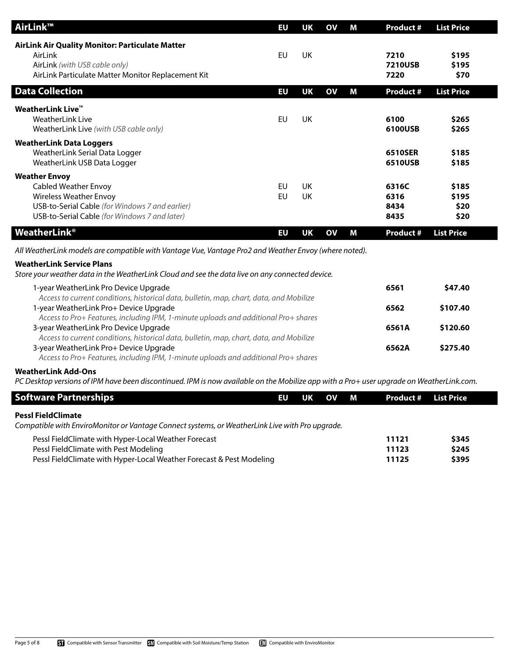| AirLink™                                                                                                                                                                                                                | <b>EU</b>              | <b>UK</b>       | $\mathbf{O}$ | M | <b>Product #</b>               | <b>List Price</b>              |
|-------------------------------------------------------------------------------------------------------------------------------------------------------------------------------------------------------------------------|------------------------|-----------------|--------------|---|--------------------------------|--------------------------------|
| AirLink Air Quality Monitor: Particulate Matter<br>AirLink<br>AirLink (with USB cable only)<br>AirLink Particulate Matter Monitor Replacement Kit                                                                       | <b>EU</b>              | <b>UK</b>       |              |   | 7210<br><b>7210USB</b><br>7220 | \$195<br>\$195<br>\$70         |
| <b>Data Collection</b>                                                                                                                                                                                                  | <b>EU</b>              | <b>UK</b>       | $\mathbf{O}$ | M | <b>Product #</b>               | <b>List Price</b>              |
| <b>WeatherLink Live™</b><br><b>WeatherLink Live</b><br>WeatherLink Live (with USB cable only)                                                                                                                           | EU                     | UK              |              |   | 6100<br>6100USB                | \$265<br>\$265                 |
| <b>WeatherLink Data Loggers</b><br>WeatherLink Serial Data Logger<br>WeatherLink USB Data Logger                                                                                                                        |                        |                 |              |   | 6510SER<br>6510USB             | \$185<br>\$185                 |
| <b>Weather Envoy</b><br><b>Cabled Weather Envoy</b><br><b>Wireless Weather Envoy</b><br>USB-to-Serial Cable (for Windows 7 and earlier)<br>USB-to-Serial Cable (for Windows 7 and later)                                | <b>EU</b><br><b>EU</b> | <b>UK</b><br>UK |              |   | 6316C<br>6316<br>8434<br>8435  | \$185<br>\$195<br>\$20<br>\$20 |
| <b>WeatherLink<sup>®</sup></b>                                                                                                                                                                                          | <b>EU</b>              | <b>UK</b>       | <b>OV</b>    | M | <b>Product #</b>               | <b>List Price</b>              |
| All WeatherLink models are compatible with Vantage Vue, Vantage Pro2 and Weather Envoy (where noted).                                                                                                                   |                        |                 |              |   |                                |                                |
| <b>WeatherLink Service Plans</b><br>Store your weather data in the WeatherLink Cloud and see the data live on any connected device.                                                                                     |                        |                 |              |   |                                |                                |
| 1-year WeatherLink Pro Device Upgrade                                                                                                                                                                                   |                        |                 |              |   | 6561                           | \$47.40                        |
| Access to current conditions, historical data, bulletin, map, chart, data, and Mobilize<br>1-year WeatherLink Pro+ Device Upgrade                                                                                       |                        |                 |              |   | 6562                           | \$107.40                       |
| Access to Pro+ Features, including IPM, 1-minute uploads and additional Pro+ shares<br>3-year WeatherLink Pro Device Upgrade<br>Access to current conditions, historical data, bulletin, map, chart, data, and Mobilize |                        |                 |              |   | 6561A                          | \$120.60                       |
| 3-year WeatherLink Pro+ Device Upgrade<br>Access to Pro+ Features, including IPM, 1-minute uploads and additional Pro+ shares                                                                                           |                        |                 |              |   | 6562A                          | \$275.40                       |
| <b>WeatherLink Add-Ons</b><br>PC Desktop versions of IPM have been discontinued. IPM is now available on the Mobilize app with a Pro+ user upgrade on WeatherLink.com.                                                  |                        |                 |              |   |                                |                                |
| <b>Software Partnerships</b>                                                                                                                                                                                            | EU                     | <b>UK</b>       | $\mathbf{O}$ | M | <b>Product #</b>               | <b>List Price</b>              |
| <b>PessI FieldClimate</b>                                                                                                                                                                                               |                        |                 |              |   |                                |                                |

*Compatible with EnviroMonitor or Vantage Connect systems, or WeatherLink Live with Pro upgrade.*

| Pessl FieldClimate with Hyper-Local Weather Forecast                 | 11121 | \$345 |
|----------------------------------------------------------------------|-------|-------|
| Pessl FieldClimate with Pest Modeling                                | 11123 | \$245 |
| Pessl FieldClimate with Hyper-Local Weather Forecast & Pest Modeling | 11125 | \$395 |
|                                                                      |       |       |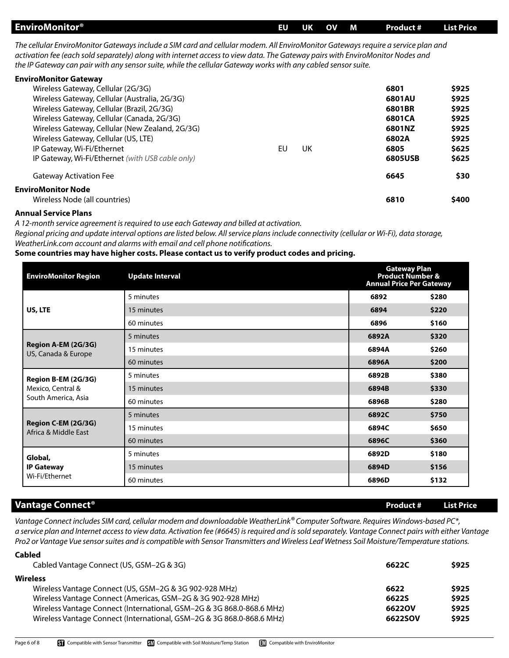| <b>EnviroMonitor®</b> | EU | UK | <b>OV</b> | <b>M</b> | Product # | <b>List Price</b> |
|-----------------------|----|----|-----------|----------|-----------|-------------------|
|                       |    |    |           |          |           |                   |

*The cellular EnviroMonitor Gateways include a SIM card and cellular modem. All EnviroMonitor Gateways require a service plan and activation fee (each sold separately) along with internet access to view data. The Gateway pairs with EnviroMonitor Nodes and the IP Gateway can pair with any sensor suite, while the cellular Gateway works with any cabled sensor suite.*

| <b>EnviroMonitor Gateway</b>                     |    |    |         |       |
|--------------------------------------------------|----|----|---------|-------|
| Wireless Gateway, Cellular (2G/3G)               |    |    | 6801    | \$925 |
| Wireless Gateway, Cellular (Australia, 2G/3G)    |    |    | 6801AU  | \$925 |
| Wireless Gateway, Cellular (Brazil, 2G/3G)       |    |    | 6801BR  | \$925 |
| Wireless Gateway, Cellular (Canada, 2G/3G)       |    |    | 6801CA  | \$925 |
| Wireless Gateway, Cellular (New Zealand, 2G/3G)  |    |    | 6801NZ  | \$925 |
| Wireless Gateway, Cellular (US, LTE)             |    |    | 6802A   | \$925 |
| IP Gateway, Wi-Fi/Ethernet                       | EU | UK | 6805    | \$625 |
| IP Gateway, Wi-Fi/Ethernet (with USB cable only) |    |    | 6805USB | \$625 |
| <b>Gateway Activation Fee</b>                    |    |    | 6645    | \$30  |
| <b>EnviroMonitor Node</b>                        |    |    |         |       |
| Wireless Node (all countries)                    |    |    | 6810    | \$400 |
|                                                  |    |    |         |       |

## **Annual Service Plans**

*A 12-month service agreement is required to use each Gateway and billed at activation.*

*Regional pricing and update interval options are listed below. All service plans include connectivity (cellular or Wi-Fi), data storage, WeatherLink.com account and alarms with email and cell phone notifications.*

## **Some countries may have higher costs. Please contact us to verify product codes and pricing.**

| <b>EnviroMonitor Region</b>                 | <b>Update Interval</b> | <b>Gateway Plan</b><br><b>Product Number &amp;</b><br><b>Annual Price Per Gateway</b> |       |
|---------------------------------------------|------------------------|---------------------------------------------------------------------------------------|-------|
|                                             | 5 minutes              | 6892                                                                                  | \$280 |
| US, LTE                                     | 15 minutes             | 6894                                                                                  | \$220 |
|                                             | 60 minutes             | 6896                                                                                  | \$160 |
|                                             | 5 minutes              | 6892A                                                                                 | \$320 |
| Region A-EM (2G/3G)<br>US, Canada & Europe  | 15 minutes             | 6894A                                                                                 | \$260 |
|                                             | 60 minutes             | 6896A                                                                                 | \$200 |
| Region B-EM (2G/3G)                         | 5 minutes              | 6892B                                                                                 | \$380 |
| Mexico, Central &                           | 15 minutes             | 6894B                                                                                 | \$330 |
| South America, Asia                         | 60 minutes             | 6896B                                                                                 | \$280 |
|                                             | 5 minutes              | 6892C                                                                                 | \$750 |
| Region C-EM (2G/3G)<br>Africa & Middle East | 15 minutes             | 6894C                                                                                 | \$650 |
|                                             | 60 minutes             | 6896C                                                                                 | \$360 |
| Global,                                     | 5 minutes              | 6892D                                                                                 | \$180 |
| <b>IP Gateway</b>                           | 15 minutes             | 6894D                                                                                 | \$156 |
| Wi-Fi/Ethernet                              | 60 minutes             | 6896D                                                                                 | \$132 |

## **Vantage Connect® Product # List Price**

**Cabled**

*Vantage Connect includes SIM card, cellular modem and downloadable WeatherLink® Computer Software. Requires Windows-based PC\*, a service plan and Internet access to view data. Activation fee (#6645) is required and is sold separately. Vantage Connect pairs with either Vantage Pro2 or Vantage Vue sensor suites and is compatible with Sensor Transmitters and Wireless Leaf Wetness Soil Moisture/Temperature stations.*

| Cabled Vantage Connect (US, GSM-2G & 3G)                              | 6622C   | \$925 |  |
|-----------------------------------------------------------------------|---------|-------|--|
| <b>Wireless</b>                                                       |         |       |  |
| Wireless Vantage Connect (US, GSM-2G & 3G 902-928 MHz)                | 6622    | \$925 |  |
| Wireless Vantage Connect (Americas, GSM-2G & 3G 902-928 MHz)          | 6622S   | \$925 |  |
| Wireless Vantage Connect (International, GSM-2G & 3G 868.0-868.6 MHz) | 6622OV  | \$925 |  |
| Wireless Vantage Connect (International, GSM-2G & 3G 868.0-868.6 MHz) | 6622SOV | \$925 |  |
|                                                                       |         |       |  |